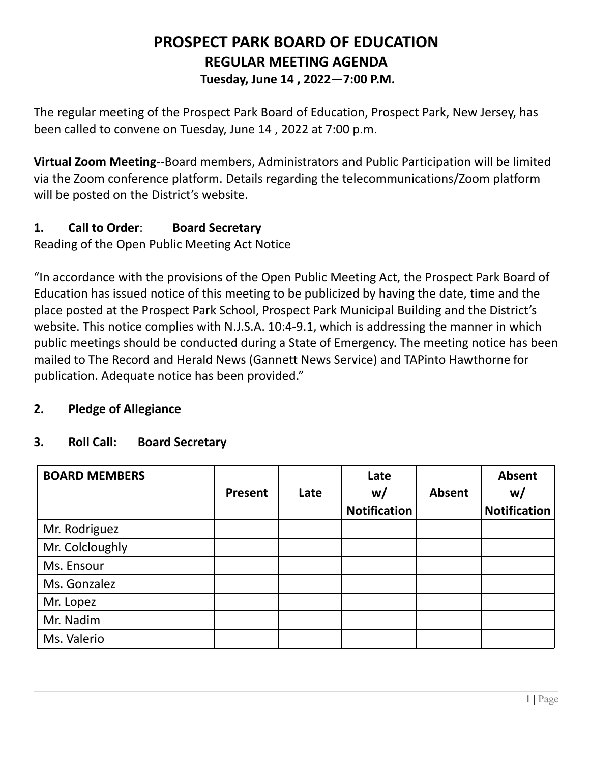# **PROSPECT PARK BOARD OF EDUCATION REGULAR MEETING AGENDA Tuesday, June 14 , 2022—7:00 P.M.**

The regular meeting of the Prospect Park Board of Education, Prospect Park, New Jersey, has been called to convene on Tuesday, June 14 , 2022 at 7:00 p.m.

**Virtual Zoom Meeting**--Board members, Administrators and Public Participation will be limited via the Zoom conference platform. Details regarding the telecommunications/Zoom platform will be posted on the District's website.

# **1. Call to Order**: **Board Secretary**

Reading of the Open Public Meeting Act Notice

"In accordance with the provisions of the Open Public Meeting Act, the Prospect Park Board of Education has issued notice of this meeting to be publicized by having the date, time and the place posted at the Prospect Park School, Prospect Park Municipal Building and the District's website. This notice complies with N.J.S.A. 10:4-9.1, which is addressing the manner in which public meetings should be conducted during a State of Emergency. The meeting notice has been mailed to The Record and Herald News (Gannett News Service) and TAPinto Hawthorne for publication. Adequate notice has been provided."

# **2. Pledge of Allegiance**

## **3. Roll Call: Board Secretary**

| <b>BOARD MEMBERS</b> | <b>Present</b> | Late | Late<br>w/<br><b>Notification</b> | <b>Absent</b> | Absent<br>w/<br><b>Notification</b> |
|----------------------|----------------|------|-----------------------------------|---------------|-------------------------------------|
| Mr. Rodriguez        |                |      |                                   |               |                                     |
| Mr. Colcloughly      |                |      |                                   |               |                                     |
| Ms. Ensour           |                |      |                                   |               |                                     |
| Ms. Gonzalez         |                |      |                                   |               |                                     |
| Mr. Lopez            |                |      |                                   |               |                                     |
| Mr. Nadim            |                |      |                                   |               |                                     |
| Ms. Valerio          |                |      |                                   |               |                                     |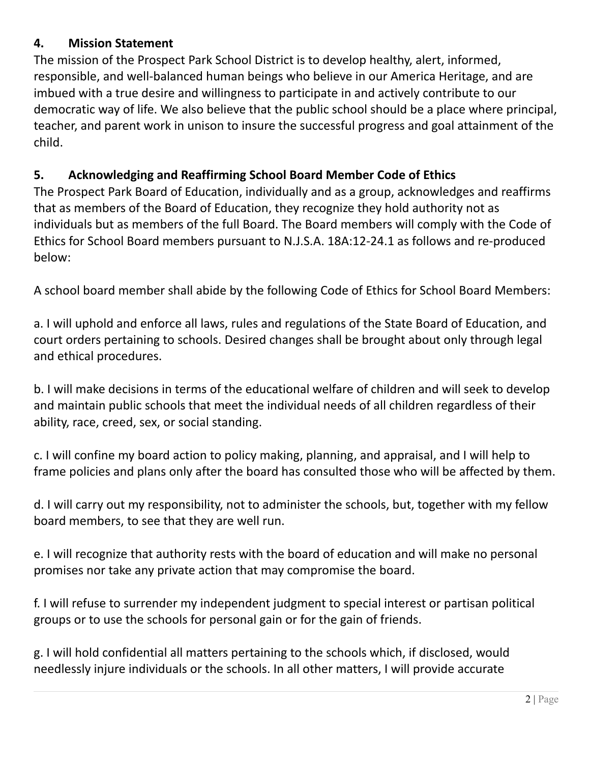# **4. Mission Statement**

The mission of the Prospect Park School District is to develop healthy, alert, informed, responsible, and well-balanced human beings who believe in our America Heritage, and are imbued with a true desire and willingness to participate in and actively contribute to our democratic way of life. We also believe that the public school should be a place where principal, teacher, and parent work in unison to insure the successful progress and goal attainment of the child.

## **5. Acknowledging and Reaffirming School Board Member Code of Ethics**

The Prospect Park Board of Education, individually and as a group, acknowledges and reaffirms that as members of the Board of Education, they recognize they hold authority not as individuals but as members of the full Board. The Board members will comply with the Code of Ethics for School Board members pursuant to N.J.S.A. 18A:12-24.1 as follows and re-produced below:

A school board member shall abide by the following Code of Ethics for School Board Members:

a. I will uphold and enforce all laws, rules and regulations of the State Board of Education, and court orders pertaining to schools. Desired changes shall be brought about only through legal and ethical procedures.

b. I will make decisions in terms of the educational welfare of children and will seek to develop and maintain public schools that meet the individual needs of all children regardless of their ability, race, creed, sex, or social standing.

c. I will confine my board action to policy making, planning, and appraisal, and I will help to frame policies and plans only after the board has consulted those who will be affected by them.

d. I will carry out my responsibility, not to administer the schools, but, together with my fellow board members, to see that they are well run.

e. I will recognize that authority rests with the board of education and will make no personal promises nor take any private action that may compromise the board.

f. I will refuse to surrender my independent judgment to special interest or partisan political groups or to use the schools for personal gain or for the gain of friends.

g. I will hold confidential all matters pertaining to the schools which, if disclosed, would needlessly injure individuals or the schools. In all other matters, I will provide accurate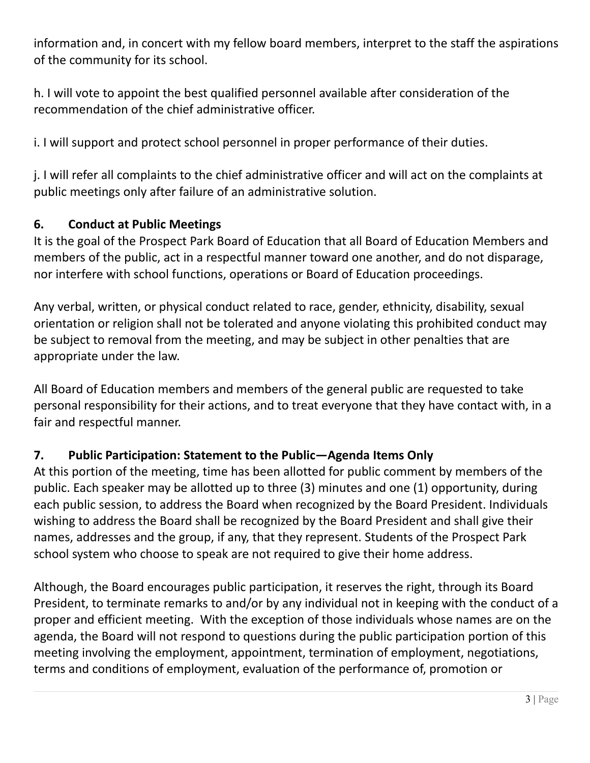information and, in concert with my fellow board members, interpret to the staff the aspirations of the community for its school.

h. I will vote to appoint the best qualified personnel available after consideration of the recommendation of the chief administrative officer.

i. I will support and protect school personnel in proper performance of their duties.

j. I will refer all complaints to the chief administrative officer and will act on the complaints at public meetings only after failure of an administrative solution.

## **6. Conduct at Public Meetings**

It is the goal of the Prospect Park Board of Education that all Board of Education Members and members of the public, act in a respectful manner toward one another, and do not disparage, nor interfere with school functions, operations or Board of Education proceedings.

Any verbal, written, or physical conduct related to race, gender, ethnicity, disability, sexual orientation or religion shall not be tolerated and anyone violating this prohibited conduct may be subject to removal from the meeting, and may be subject in other penalties that are appropriate under the law.

All Board of Education members and members of the general public are requested to take personal responsibility for their actions, and to treat everyone that they have contact with, in a fair and respectful manner.

# **7. Public Participation: Statement to the Public—Agenda Items Only**

At this portion of the meeting, time has been allotted for public comment by members of the public. Each speaker may be allotted up to three (3) minutes and one (1) opportunity, during each public session, to address the Board when recognized by the Board President. Individuals wishing to address the Board shall be recognized by the Board President and shall give their names, addresses and the group, if any, that they represent. Students of the Prospect Park school system who choose to speak are not required to give their home address.

Although, the Board encourages public participation, it reserves the right, through its Board President, to terminate remarks to and/or by any individual not in keeping with the conduct of a proper and efficient meeting. With the exception of those individuals whose names are on the agenda, the Board will not respond to questions during the public participation portion of this meeting involving the employment, appointment, termination of employment, negotiations, terms and conditions of employment, evaluation of the performance of, promotion or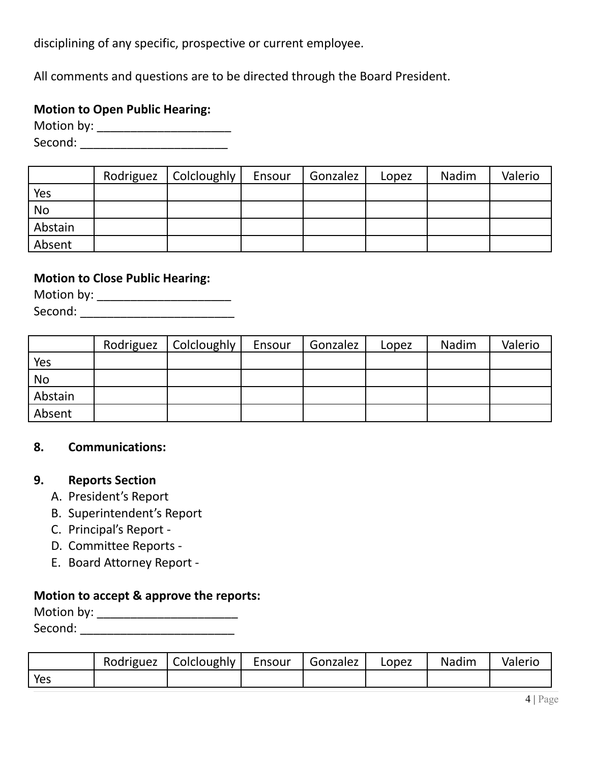disciplining of any specific, prospective or current employee.

All comments and questions are to be directed through the Board President.

## **Motion to Open Public Hearing:**

Motion by: \_\_\_\_\_\_\_\_\_\_\_\_\_\_\_\_\_\_\_\_ Second: \_\_\_\_\_\_\_\_\_\_\_\_\_\_\_\_\_\_\_\_\_\_

|           | Rodriguez   Colcloughly | Ensour | Gonzalez | Lopez | Nadim | Valerio |
|-----------|-------------------------|--------|----------|-------|-------|---------|
| Yes       |                         |        |          |       |       |         |
| <b>No</b> |                         |        |          |       |       |         |
| Abstain   |                         |        |          |       |       |         |
| Absent    |                         |        |          |       |       |         |

## **Motion to Close Public Hearing:**

Motion by: \_\_\_\_\_\_\_\_\_\_\_\_\_\_\_\_\_\_\_\_\_\_\_\_\_\_ Second: \_\_\_\_\_\_\_\_\_\_\_\_\_\_\_\_\_\_\_\_\_\_\_

|           | Rodriguez   Colcloughly | Ensour | Gonzalez | Lopez | Nadim | Valerio |
|-----------|-------------------------|--------|----------|-------|-------|---------|
| Yes       |                         |        |          |       |       |         |
| <b>No</b> |                         |        |          |       |       |         |
| Abstain   |                         |        |          |       |       |         |
| Absent    |                         |        |          |       |       |         |

#### **8. Communications:**

#### **9. Reports Section**

- A. President's Report
- B. Superintendent's Report
- C. Principal's Report -
- D. Committee Reports -
- E. Board Attorney Report -

# **Motion to accept & approve the reports:**

| Motion by: |  |
|------------|--|
| Second:    |  |

|     | Rodriguez   Colcloughly | Ensour | Gonzalez | Lopez | Nadim | Valerio |
|-----|-------------------------|--------|----------|-------|-------|---------|
| Yes |                         |        |          |       |       |         |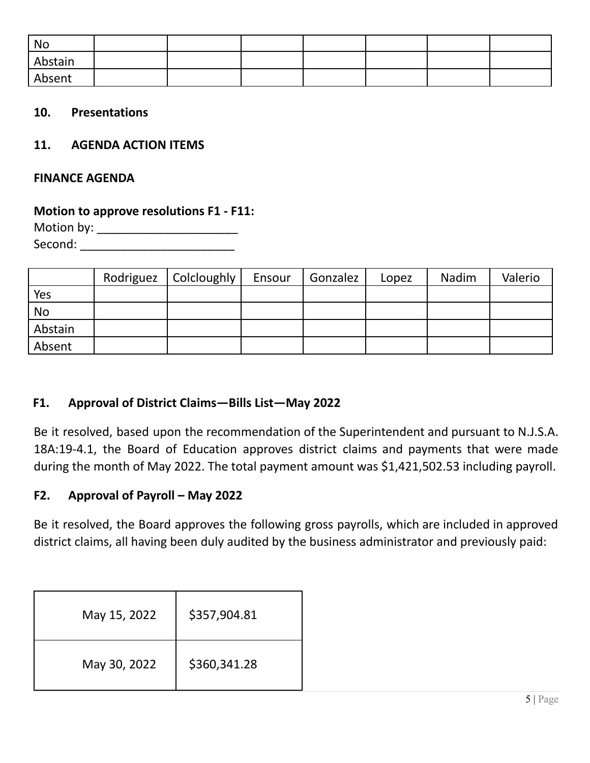| No      |  |  |  |  |
|---------|--|--|--|--|
| Abstain |  |  |  |  |
| Absent  |  |  |  |  |

#### **10. Presentations**

#### **11. AGENDA ACTION ITEMS**

#### **FINANCE AGENDA**

#### **Motion to approve resolutions F1 - F11:**

Motion by: \_\_\_\_\_\_\_\_\_\_\_\_\_\_\_\_\_\_\_\_\_ Second: \_\_\_\_\_\_\_\_\_\_\_\_\_\_\_\_\_\_\_\_\_\_\_

|           | Rodriguez | Colcloughly | Ensour | Gonzalez | Lopez | Nadim | Valerio |
|-----------|-----------|-------------|--------|----------|-------|-------|---------|
| Yes       |           |             |        |          |       |       |         |
| <b>No</b> |           |             |        |          |       |       |         |
| Abstain   |           |             |        |          |       |       |         |
| Absent    |           |             |        |          |       |       |         |

#### **F1. Approval of District Claims—Bills List—May 2022**

Be it resolved, based upon the recommendation of the Superintendent and pursuant to N.J.S.A. 18A:19-4.1, the Board of Education approves district claims and payments that were made during the month of May 2022. The total payment amount was \$1,421,502.53 including payroll.

#### **F2. Approval of Payroll – May 2022**

Be it resolved, the Board approves the following gross payrolls, which are included in approved district claims, all having been duly audited by the business administrator and previously paid:

| May 15, 2022 | \$357,904.81 |
|--------------|--------------|
| May 30, 2022 | \$360,341.28 |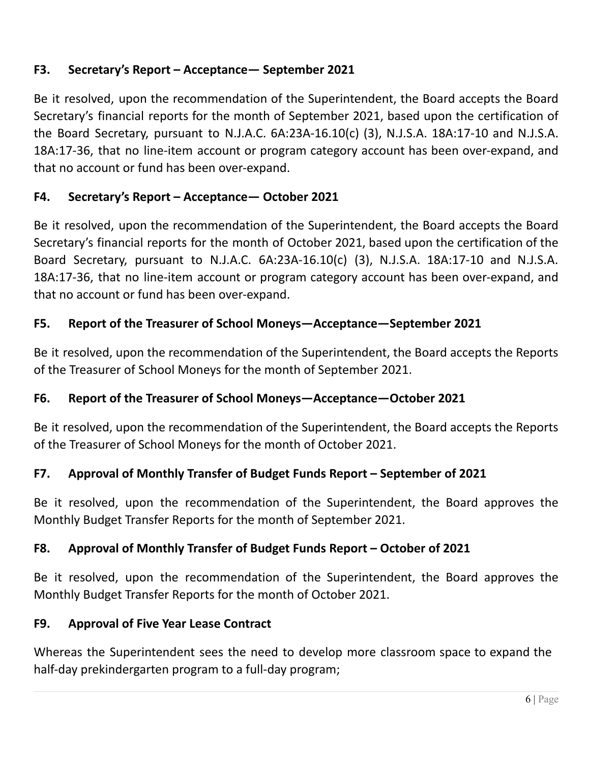# **F3. Secretary's Report – Acceptance— September 2021**

Be it resolved, upon the recommendation of the Superintendent, the Board accepts the Board Secretary's financial reports for the month of September 2021, based upon the certification of the Board Secretary, pursuant to N.J.A.C. 6A:23A-16.10(c) (3), N.J.S.A. 18A:17-10 and N.J.S.A. 18A:17-36, that no line-item account or program category account has been over-expand, and that no account or fund has been over-expand.

# **F4. Secretary's Report – Acceptance— October 2021**

Be it resolved, upon the recommendation of the Superintendent, the Board accepts the Board Secretary's financial reports for the month of October 2021, based upon the certification of the Board Secretary, pursuant to N.J.A.C. 6A:23A-16.10(c) (3), N.J.S.A. 18A:17-10 and N.J.S.A. 18A:17-36, that no line-item account or program category account has been over-expand, and that no account or fund has been over-expand.

## **F5. Report of the Treasurer of School Moneys—Acceptance—September 2021**

Be it resolved, upon the recommendation of the Superintendent, the Board accepts the Reports of the Treasurer of School Moneys for the month of September 2021.

## **F6. Report of the Treasurer of School Moneys—Acceptance—October 2021**

Be it resolved, upon the recommendation of the Superintendent, the Board accepts the Reports of the Treasurer of School Moneys for the month of October 2021.

## **F7. Approval of Monthly Transfer of Budget Funds Report – September of 2021**

Be it resolved, upon the recommendation of the Superintendent, the Board approves the Monthly Budget Transfer Reports for the month of September 2021.

## **F8. Approval of Monthly Transfer of Budget Funds Report – October of 2021**

Be it resolved, upon the recommendation of the Superintendent, the Board approves the Monthly Budget Transfer Reports for the month of October 2021.

## **F9. Approval of Five Year Lease Contract**

Whereas the Superintendent sees the need to develop more classroom space to expand the half-day prekindergarten program to a full-day program;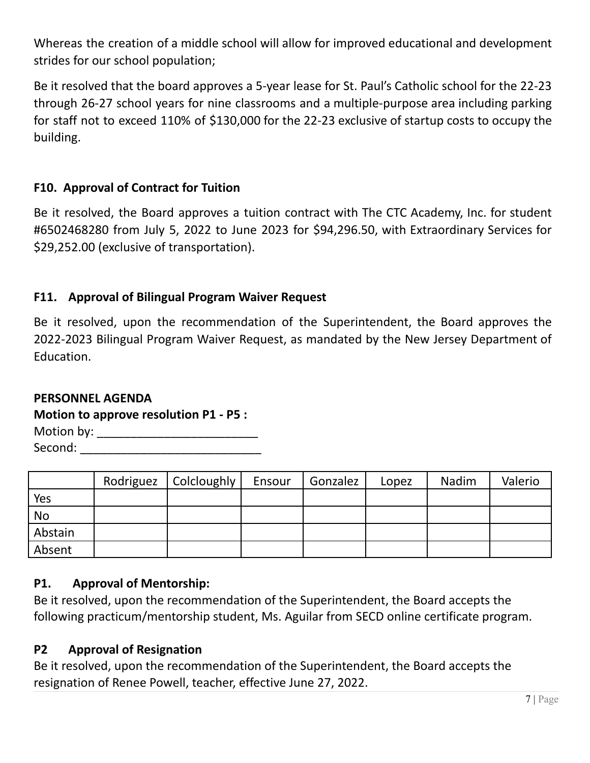Whereas the creation of a middle school will allow for improved educational and development strides for our school population;

Be it resolved that the board approves a 5-year lease for St. Paul's Catholic school for the 22-23 through 26-27 school years for nine classrooms and a multiple-purpose area including parking for staff not to exceed 110% of \$130,000 for the 22-23 exclusive of startup costs to occupy the building.

## **F10. Approval of Contract for Tuition**

Be it resolved, the Board approves a tuition contract with The CTC Academy, Inc. for student #6502468280 from July 5, 2022 to June 2023 for \$94,296.50, with Extraordinary Services for \$29,252.00 (exclusive of transportation).

## **F11. Approval of Bilingual Program Waiver Request**

Be it resolved, upon the recommendation of the Superintendent, the Board approves the 2022-2023 Bilingual Program Waiver Request, as mandated by the New Jersey Department of Education.

#### **PERSONNEL AGENDA**

#### **Motion to approve resolution P1 - P5 :**

| Motion by: |  |
|------------|--|
| Second:    |  |

|           | Rodriguez   Colcloughly | Ensour | Gonzalez | Lopez | Nadim | Valerio |
|-----------|-------------------------|--------|----------|-------|-------|---------|
| Yes       |                         |        |          |       |       |         |
| <b>No</b> |                         |        |          |       |       |         |
| Abstain   |                         |        |          |       |       |         |
| Absent    |                         |        |          |       |       |         |

## **P1. Approval of Mentorship:**

Be it resolved, upon the recommendation of the Superintendent, the Board accepts the following practicum/mentorship student, Ms. Aguilar from SECD online certificate program.

## **P2 Approval of Resignation**

Be it resolved, upon the recommendation of the Superintendent, the Board accepts the resignation of Renee Powell, teacher, effective June 27, 2022.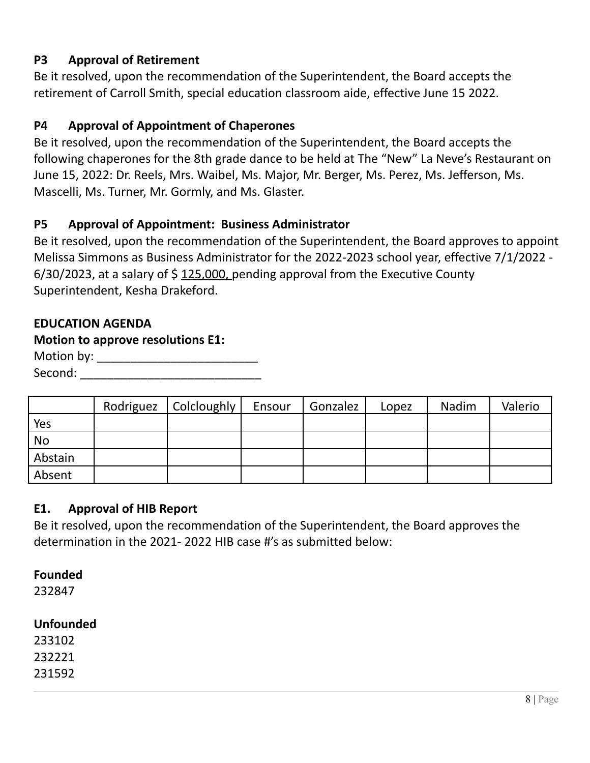## **P3 Approval of Retirement**

Be it resolved, upon the recommendation of the Superintendent, the Board accepts the retirement of Carroll Smith, special education classroom aide, effective June 15 2022.

## **P4 Approval of Appointment of Chaperones**

Be it resolved, upon the recommendation of the Superintendent, the Board accepts the following chaperones for the 8th grade dance to be held at The "New" La Neve's Restaurant on June 15, 2022: Dr. Reels, Mrs. Waibel, Ms. Major, Mr. Berger, Ms. Perez, Ms. Jefferson, Ms. Mascelli, Ms. Turner, Mr. Gormly, and Ms. Glaster.

## **P5 Approval of Appointment: Business Administrator**

Be it resolved, upon the recommendation of the Superintendent, the Board approves to appoint Melissa Simmons as Business Administrator for the 2022-2023 school year, effective 7/1/2022 -  $6/30/2023$ , at a salary of \$125,000, pending approval from the Executive County Superintendent, Kesha Drakeford.

#### **EDUCATION AGENDA**

#### **Motion to approve resolutions E1:**

| Motion by: |  |
|------------|--|
| Second:    |  |

|           | Rodriguez   Colcloughly | Ensour | Gonzalez | Lopez | Nadim | Valerio |
|-----------|-------------------------|--------|----------|-------|-------|---------|
| Yes       |                         |        |          |       |       |         |
| <b>No</b> |                         |        |          |       |       |         |
| Abstain   |                         |        |          |       |       |         |
| Absent    |                         |        |          |       |       |         |

#### **E1. Approval of HIB Report**

Be it resolved, upon the recommendation of the Superintendent, the Board approves the determination in the 2021- 2022 HIB case #'s as submitted below:

## **Founded**

232847

## **Unfounded**

233102 232221 231592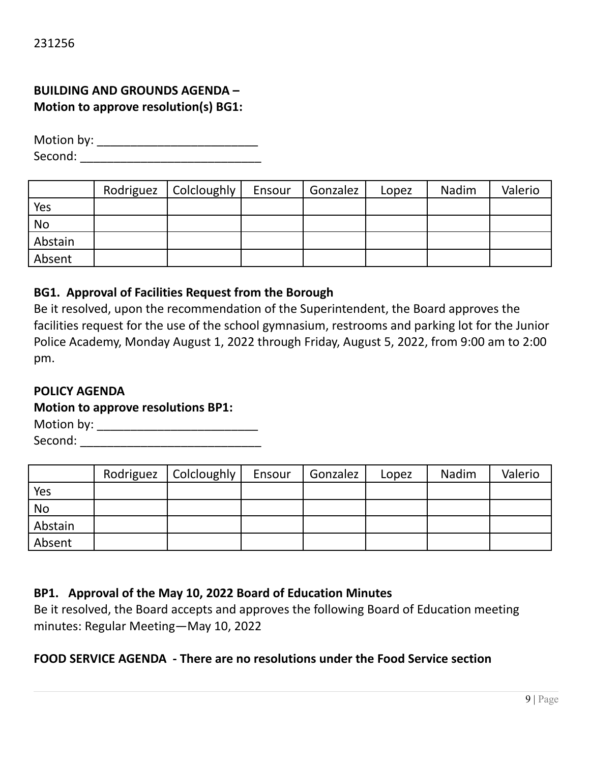# **BUILDING AND GROUNDS AGENDA – Motion to approve resolution(s) BG1:**

Motion by: \_\_\_\_\_\_\_\_\_\_\_\_\_\_\_\_\_\_\_\_\_\_\_\_ Second: \_\_\_\_\_\_\_\_\_\_\_\_\_\_\_\_\_\_\_\_\_\_\_\_\_\_\_

|         | Rodriguez   Colcloughly | Ensour | Gonzalez | Lopez | Nadim | Valerio |
|---------|-------------------------|--------|----------|-------|-------|---------|
| Yes     |                         |        |          |       |       |         |
| No      |                         |        |          |       |       |         |
| Abstain |                         |        |          |       |       |         |
| Absent  |                         |        |          |       |       |         |

#### **BG1. Approval of Facilities Request from the Borough**

Be it resolved, upon the recommendation of the Superintendent, the Board approves the facilities request for the use of the school gymnasium, restrooms and parking lot for the Junior Police Academy, Monday August 1, 2022 through Friday, August 5, 2022, from 9:00 am to 2:00 pm.

#### **POLICY AGENDA**

#### **Motion to approve resolutions BP1:**

Motion by: \_\_\_\_\_\_\_\_\_\_\_\_\_\_\_\_\_\_\_\_\_\_\_\_ Second: \_\_\_\_\_\_\_\_\_\_\_\_\_\_\_\_\_\_\_\_\_\_\_\_\_\_\_

|         | Rodriguez   Colcloughly | Ensour | Gonzalez | Lopez | Nadim | Valerio |
|---------|-------------------------|--------|----------|-------|-------|---------|
| Yes     |                         |        |          |       |       |         |
| No      |                         |        |          |       |       |         |
| Abstain |                         |        |          |       |       |         |
| Absent  |                         |        |          |       |       |         |

#### **BP1. Approval of the May 10, 2022 Board of Education Minutes**

Be it resolved, the Board accepts and approves the following Board of Education meeting minutes: Regular Meeting—May 10, 2022

#### **FOOD SERVICE AGENDA - There are no resolutions under the Food Service section**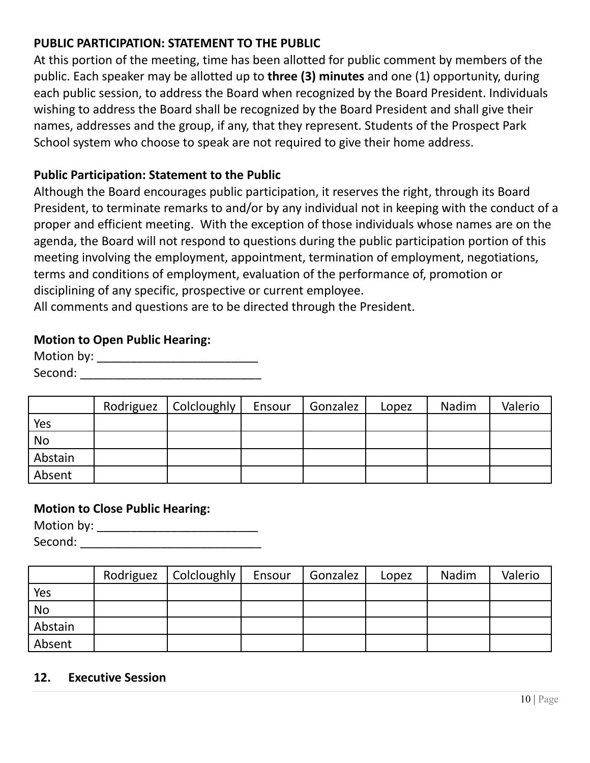# **PUBLIC PARTICIPATION: STATEMENT TO THE PUBLIC**

At this portion of the meeting, time has been allotted for public comment by members of the public. Each speaker may be allotted up to **three (3) minutes** and one (1) opportunity, during each public session, to address the Board when recognized by the Board President. Individuals wishing to address the Board shall be recognized by the Board President and shall give their names, addresses and the group, if any, that they represent. Students of the Prospect Park School system who choose to speak are not required to give their home address.

#### **Public Participation: Statement to the Public**

Although the Board encourages public participation, it reserves the right, through its Board President, to terminate remarks to and/or by any individual not in keeping with the conduct of a proper and efficient meeting. With the exception of those individuals whose names are on the agenda, the Board will not respond to questions during the public participation portion of this meeting involving the employment, appointment, termination of employment, negotiations, terms and conditions of employment, evaluation of the performance of, promotion or disciplining of any specific, prospective or current employee.

All comments and questions are to be directed through the President.

#### **Motion to Open Public Hearing:**

| Motion by: |  |
|------------|--|
| Second:    |  |

|           | Rodriguez | Colcloughly | Ensour | Gonzalez | Lopez | Nadim | Valerio |
|-----------|-----------|-------------|--------|----------|-------|-------|---------|
| Yes       |           |             |        |          |       |       |         |
| <b>No</b> |           |             |        |          |       |       |         |
| Abstain   |           |             |        |          |       |       |         |
| Absent    |           |             |        |          |       |       |         |

#### **Motion to Close Public Hearing:**

Motion by: \_\_\_\_\_\_\_\_\_\_\_\_\_\_\_\_\_\_\_\_\_\_\_\_ Second: \_\_\_\_\_\_\_\_\_\_\_\_\_\_\_\_\_\_\_\_\_\_\_\_\_\_\_

|           | Rodriguez   Colcloughly | Ensour | Gonzalez | Lopez | Nadim | Valerio |
|-----------|-------------------------|--------|----------|-------|-------|---------|
| Yes       |                         |        |          |       |       |         |
| <b>No</b> |                         |        |          |       |       |         |
| Abstain   |                         |        |          |       |       |         |
| Absent    |                         |        |          |       |       |         |

#### **12. Executive Session**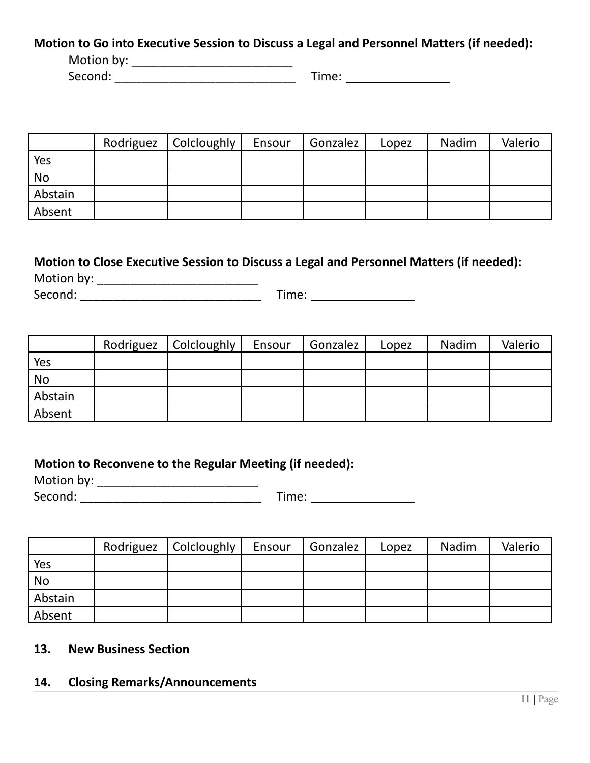#### **Motion to Go into Executive Session to Discuss a Legal and Personnel Matters (if needed):**

Motion by: \_\_\_\_\_\_\_\_\_\_\_\_\_\_\_\_\_\_\_\_\_\_\_\_

Second: \_\_\_\_\_\_\_\_\_\_\_\_\_\_\_\_\_\_\_\_\_\_\_\_\_\_\_ Time:

|           | Rodriguez   Colcloughly | Ensour | Gonzalez | Lopez | Nadim | Valerio |
|-----------|-------------------------|--------|----------|-------|-------|---------|
| Yes       |                         |        |          |       |       |         |
| <b>No</b> |                         |        |          |       |       |         |
| Abstain   |                         |        |          |       |       |         |
| Absent    |                         |        |          |       |       |         |

# **Motion to Close Executive Session to Discuss a Legal and Personnel Matters (if needed):** Motion by: \_\_\_\_\_\_\_\_\_\_\_\_\_\_\_\_\_\_\_\_\_\_\_\_

Second: \_\_\_\_\_\_\_\_\_\_\_\_\_\_\_\_\_\_\_\_\_\_\_\_\_\_\_ Time:

|           | Rodriguez | Colcloughly | Ensour | Gonzalez | Lopez | Nadim | Valerio |
|-----------|-----------|-------------|--------|----------|-------|-------|---------|
| Yes       |           |             |        |          |       |       |         |
| <b>No</b> |           |             |        |          |       |       |         |
| Abstain   |           |             |        |          |       |       |         |
| Absent    |           |             |        |          |       |       |         |

# **Motion to Reconvene to the Regular Meeting (if needed):**

Motion by: \_\_\_\_\_\_\_\_\_\_\_\_\_\_\_\_\_\_\_\_\_\_\_\_ Second: \_\_\_\_\_\_\_\_\_\_\_\_\_\_\_\_\_\_\_\_\_\_\_\_\_\_\_ Time:

|           | Rodriguez   Colcloughly | Ensour | Gonzalez | Lopez | Nadim | Valerio |
|-----------|-------------------------|--------|----------|-------|-------|---------|
| Yes       |                         |        |          |       |       |         |
| <b>No</b> |                         |        |          |       |       |         |
| Abstain   |                         |        |          |       |       |         |
| Absent    |                         |        |          |       |       |         |

## **13. New Business Section**

## **14. Closing Remarks/Announcements**